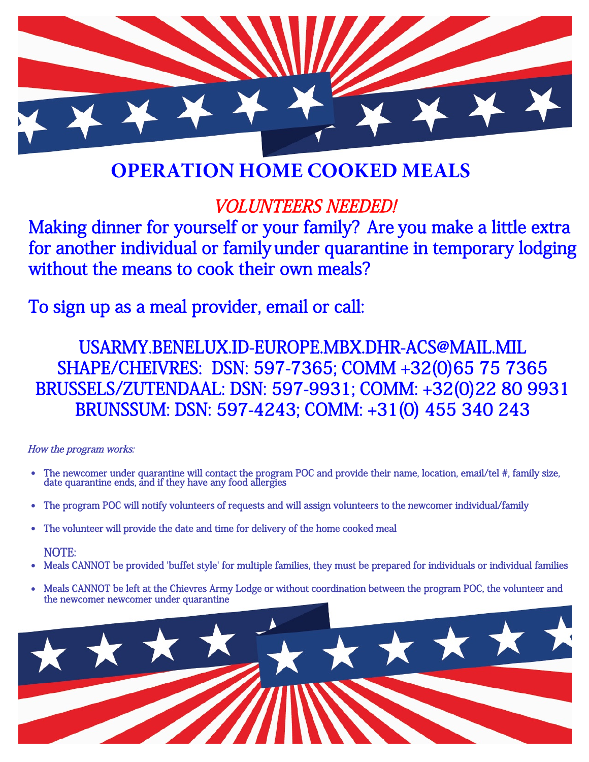

## **OPERATION HOME COOKED MEALS**

### VOLUNTEERS NEEDED!

Making dinner for yourself or your family? Are you make a little extra for another individual or family under quarantine in temporary lodging without the means to cook their own meals?

To sign up as a meal provider, email or call:

USARMY.BENELUX.ID-EUROPE.MBX.DHR-ACS@MAIL.MIL SHAPE/CHEIVRES: DSN: 597-7365; COMM +32(0)65 75 7365 BRUSSELS/ZUTENDAAL: DSN: 597-9931; COMM: +32(0)22 80 9931 BRUNSSUM: DSN: 597-4243; COMM: +31(0) 455 340 243

#### How the program works:

- The newcomer under quarantine will contact the program POC and provide their name, location, email/tel #, family size, date quarantine ends, and if they have any food allergies
- The program POC will notify volunteers of requests and will assign volunteers to the newcomer individual/family
- The volunteer will provide the date and time for delivery of the home cooked meal

#### NOTE:

- Meals CANNOT be provided 'buffet style' for multiple families, they must be prepared for individuals or individual families
- Meals CANNOT be left at the Chievres Army Lodge or without coordination between the program POC, the volunteer and the newcomer newcomer under quarantine